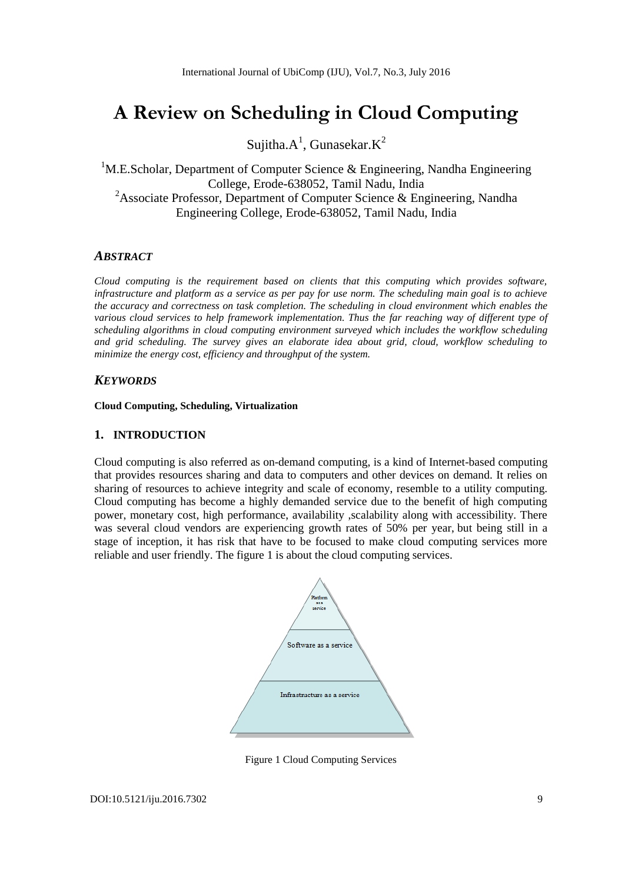# **A Review on Scheduling in Cloud Computing**

Sujitha. $A^1$ , Gunasekar. $K^2$ 

<sup>1</sup>M.E.Scholar, Department of Computer Science & Engineering, Nandha Engineering College, Erode-638052, Tamil Nadu, India <sup>2</sup>Associate Professor, Department of Computer Science & Engineering, Nandha Engineering College, Erode-638052, Tamil Nadu, India

### *ABSTRACT*

*Cloud computing is the requirement based on clients that this computing which provides software, infrastructure and platform as a service as per pay for use norm. The scheduling main goal is to achieve the accuracy and correctness on task completion. The scheduling in cloud environment which enables the various cloud services to help framework implementation. Thus the far reaching way of different type of scheduling algorithms in cloud computing environment surveyed which includes the workflow scheduling and grid scheduling. The survey gives an elaborate idea about grid, cloud, workflow scheduling to minimize the energy cost, efficiency and throughput of the system.*

#### *KEYWORDS*

#### **Cloud Computing, Scheduling, Virtualization**

#### **1. INTRODUCTION**

Cloud computing is also referred as on-demand computing, is a kind of Internet-based computing that provides resources sharing and data to computers and other devices on demand. It relies on sharing of resources to achieve integrity and scale of economy, resemble to a utility computing. Cloud computing has become a highly demanded service due to the benefit of high computing power, monetary cost, high performance, availability ,scalability along with accessibility. There was several cloud vendors are experiencing growth rates of 50% per year, but being still in a stage of inception, it has risk that have to be focused to make cloud computing services more reliable and user friendly. The figure 1 is about the cloud computing services.



Figure 1 Cloud Computing Services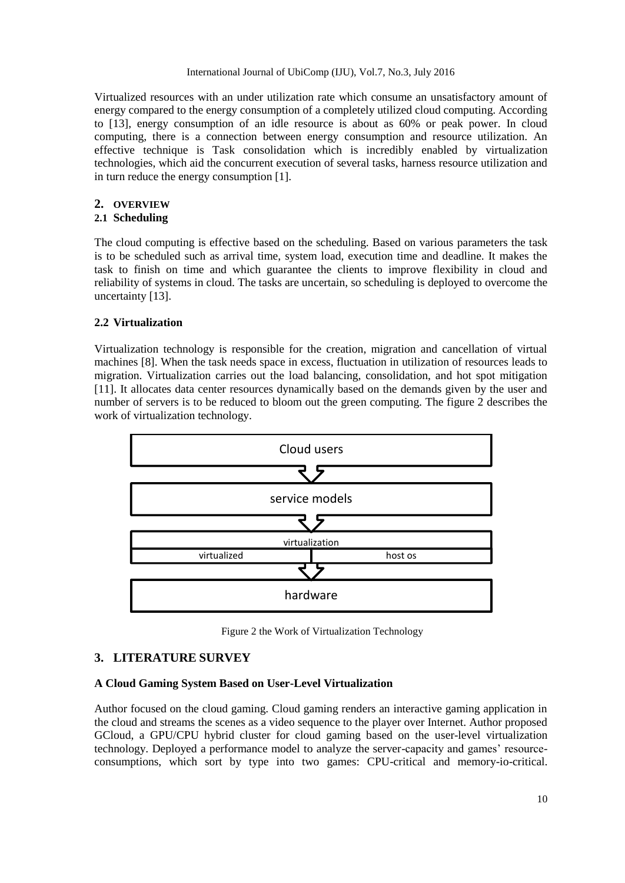Virtualized resources with an under utilization rate which consume an unsatisfactory amount of energy compared to the energy consumption of a completely utilized cloud computing. According to [13], energy consumption of an idle resource is about as 60% or peak power. In cloud computing, there is a connection between energy consumption and resource utilization. An effective technique is Task consolidation which is incredibly enabled by virtualization technologies, which aid the concurrent execution of several tasks, harness resource utilization and in turn reduce the energy consumption [1].

# **2. OVERVIEW**

# **2.1 Scheduling**

The cloud computing is effective based on the scheduling. Based on various parameters the task is to be scheduled such as arrival time, system load, execution time and deadline. It makes the task to finish on time and which guarantee the clients to improve flexibility in cloud and reliability of systems in cloud. The tasks are uncertain, so scheduling is deployed to overcome the uncertainty [13].

# **2.2 Virtualization**

Virtualization technology is responsible for the creation, migration and cancellation of virtual machines [8]. When the task needs space in excess, fluctuation in utilization of resources leads to migration. Virtualization carries out the load balancing, consolidation, and hot spot mitigation [11]. It allocates data center resources dynamically based on the demands given by the user and number of servers is to be reduced to bloom out the green computing. The figure 2 describes the work of virtualization technology.



Figure 2 the Work of Virtualization Technology

# **3. LITERATURE SURVEY**

# **A Cloud Gaming System Based on User-Level Virtualization**

Author focused on the cloud gaming. Cloud gaming renders an interactive gaming application in the cloud and streams the scenes as a video sequence to the player over Internet. Author proposed GCloud, a GPU/CPU hybrid cluster for cloud gaming based on the user-level virtualization technology. Deployed a performance model to analyze the server-capacity and games' resourceconsumptions, which sort by type into two games: CPU-critical and memory-io-critical.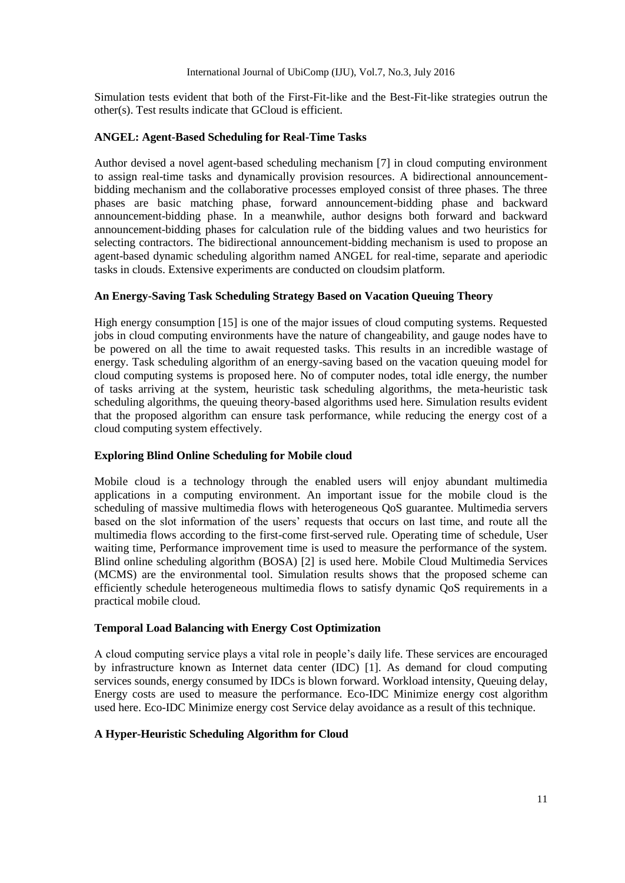Simulation tests evident that both of the First-Fit-like and the Best-Fit-like strategies outrun the other(s). Test results indicate that GCloud is efficient.

### **ANGEL: Agent-Based Scheduling for Real-Time Tasks**

Author devised a novel agent-based scheduling mechanism [7] in cloud computing environment to assign real-time tasks and dynamically provision resources. A bidirectional announcementbidding mechanism and the collaborative processes employed consist of three phases. The three phases are basic matching phase, forward announcement-bidding phase and backward announcement-bidding phase. In a meanwhile, author designs both forward and backward announcement-bidding phases for calculation rule of the bidding values and two heuristics for selecting contractors. The bidirectional announcement-bidding mechanism is used to propose an agent-based dynamic scheduling algorithm named ANGEL for real-time, separate and aperiodic tasks in clouds. Extensive experiments are conducted on cloudsim platform.

#### **An Energy-Saving Task Scheduling Strategy Based on Vacation Queuing Theory**

High energy consumption [15] is one of the major issues of cloud computing systems. Requested jobs in cloud computing environments have the nature of changeability, and gauge nodes have to be powered on all the time to await requested tasks. This results in an incredible wastage of energy. Task scheduling algorithm of an energy-saving based on the vacation queuing model for cloud computing systems is proposed here. No of computer nodes, total idle energy, the number of tasks arriving at the system, heuristic task scheduling algorithms, the meta-heuristic task scheduling algorithms, the queuing theory-based algorithms used here. Simulation results evident that the proposed algorithm can ensure task performance, while reducing the energy cost of a cloud computing system effectively.

### **Exploring Blind Online Scheduling for Mobile cloud**

Mobile cloud is a technology through the enabled users will enjoy abundant multimedia applications in a computing environment. An important issue for the mobile cloud is the scheduling of massive multimedia flows with heterogeneous QoS guarantee. Multimedia servers based on the slot information of the users' requests that occurs on last time, and route all the multimedia flows according to the first-come first-served rule. Operating time of schedule, User waiting time, Performance improvement time is used to measure the performance of the system. Blind online scheduling algorithm (BOSA) [2] is used here. Mobile Cloud Multimedia Services (MCMS) are the environmental tool. Simulation results shows that the proposed scheme can efficiently schedule heterogeneous multimedia flows to satisfy dynamic QoS requirements in a practical mobile cloud.

#### **Temporal Load Balancing with Energy Cost Optimization**

A cloud computing service plays a vital role in people's daily life. These services are encouraged by infrastructure known as Internet data center (IDC) [1]. As demand for cloud computing services sounds, energy consumed by IDCs is blown forward. Workload intensity, Queuing delay, Energy costs are used to measure the performance. Eco-IDC Minimize energy cost algorithm used here. Eco-IDC Minimize energy cost Service delay avoidance as a result of this technique.

### **A Hyper-Heuristic Scheduling Algorithm for Cloud**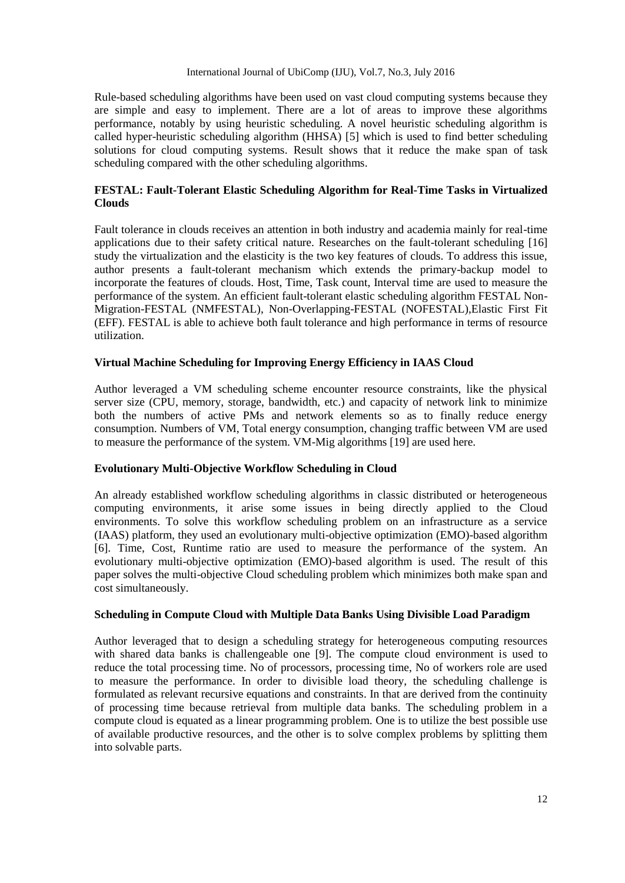#### International Journal of UbiComp (IJU), Vol.7, No.3, July 2016

Rule-based scheduling algorithms have been used on vast cloud computing systems because they are simple and easy to implement. There are a lot of areas to improve these algorithms performance, notably by using heuristic scheduling. A novel heuristic scheduling algorithm is called hyper-heuristic scheduling algorithm (HHSA) [5] which is used to find better scheduling solutions for cloud computing systems. Result shows that it reduce the make span of task scheduling compared with the other scheduling algorithms.

### **FESTAL: Fault-Tolerant Elastic Scheduling Algorithm for Real-Time Tasks in Virtualized Clouds**

Fault tolerance in clouds receives an attention in both industry and academia mainly for real-time applications due to their safety critical nature. Researches on the fault-tolerant scheduling [16] study the virtualization and the elasticity is the two key features of clouds. To address this issue, author presents a fault-tolerant mechanism which extends the primary-backup model to incorporate the features of clouds. Host, Time, Task count, Interval time are used to measure the performance of the system. An efficient fault-tolerant elastic scheduling algorithm FESTAL Non-Migration-FESTAL (NMFESTAL), Non-Overlapping-FESTAL (NOFESTAL),Elastic First Fit (EFF). FESTAL is able to achieve both fault tolerance and high performance in terms of resource utilization.

### **Virtual Machine Scheduling for Improving Energy Efficiency in IAAS Cloud**

Author leveraged a VM scheduling scheme encounter resource constraints, like the physical server size (CPU, memory, storage, bandwidth, etc.) and capacity of network link to minimize both the numbers of active PMs and network elements so as to finally reduce energy consumption. Numbers of VM, Total energy consumption, changing traffic between VM are used to measure the performance of the system. VM-Mig algorithms [19] are used here.

### **Evolutionary Multi-Objective Workflow Scheduling in Cloud**

An already established workflow scheduling algorithms in classic distributed or heterogeneous computing environments, it arise some issues in being directly applied to the Cloud environments. To solve this workflow scheduling problem on an infrastructure as a service (IAAS) platform, they used an evolutionary multi-objective optimization (EMO)-based algorithm [6]. Time, Cost, Runtime ratio are used to measure the performance of the system. An evolutionary multi-objective optimization (EMO)-based algorithm is used. The result of this paper solves the multi-objective Cloud scheduling problem which minimizes both make span and cost simultaneously.

#### **Scheduling in Compute Cloud with Multiple Data Banks Using Divisible Load Paradigm**

Author leveraged that to design a scheduling strategy for heterogeneous computing resources with shared data banks is challengeable one [9]. The compute cloud environment is used to reduce the total processing time. No of processors, processing time, No of workers role are used to measure the performance. In order to divisible load theory, the scheduling challenge is formulated as relevant recursive equations and constraints. In that are derived from the continuity of processing time because retrieval from multiple data banks. The scheduling problem in a compute cloud is equated as a linear programming problem. One is to utilize the best possible use of available productive resources, and the other is to solve complex problems by splitting them into solvable parts.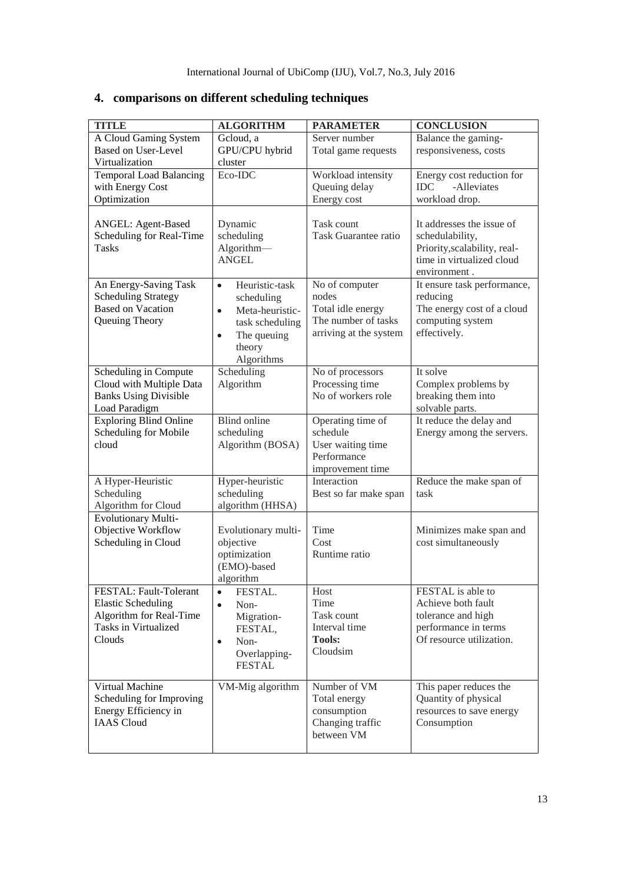| <b>TITLE</b>                                                          | <b>ALGORITHM</b>                                    | <b>PARAMETER</b>                         | <b>CONCLUSION</b>                                                                                                         |
|-----------------------------------------------------------------------|-----------------------------------------------------|------------------------------------------|---------------------------------------------------------------------------------------------------------------------------|
| A Cloud Gaming System                                                 | Gcloud, a                                           | Server number                            | Balance the gaming-                                                                                                       |
| <b>Based on User-Level</b>                                            | GPU/CPU hybrid                                      | Total game requests                      | responsiveness, costs                                                                                                     |
| Virtualization                                                        | cluster                                             |                                          |                                                                                                                           |
| <b>Temporal Load Balancing</b>                                        | Eco-IDC                                             | Workload intensity                       | Energy cost reduction for                                                                                                 |
| with Energy Cost                                                      |                                                     | Queuing delay                            | <b>IDC</b><br>-Alleviates                                                                                                 |
| Optimization                                                          |                                                     | Energy cost                              | workload drop.                                                                                                            |
| <b>ANGEL: Agent-Based</b><br>Scheduling for Real-Time<br><b>Tasks</b> | Dynamic<br>scheduling<br>Algorithm-<br><b>ANGEL</b> | Task count<br>Task Guarantee ratio       | It addresses the issue of<br>schedulability,<br>Priority, scalability, real-<br>time in virtualized cloud<br>environment. |
| An Energy-Saving Task                                                 | Heuristic-task<br>$\bullet$                         | No of computer                           | It ensure task performance,                                                                                               |
| <b>Scheduling Strategy</b>                                            | scheduling                                          | nodes                                    | reducing                                                                                                                  |
| <b>Based on Vacation</b>                                              | Meta-heuristic-<br>$\bullet$                        | Total idle energy<br>The number of tasks | The energy cost of a cloud                                                                                                |
| Queuing Theory                                                        | task scheduling                                     | arriving at the system                   | computing system<br>effectively.                                                                                          |
|                                                                       | The queuing<br>$\bullet$                            |                                          |                                                                                                                           |
|                                                                       | theory<br>Algorithms                                |                                          |                                                                                                                           |
| Scheduling in Compute                                                 | Scheduling                                          | No of processors                         | It solve                                                                                                                  |
| Cloud with Multiple Data                                              | Algorithm                                           | Processing time                          | Complex problems by                                                                                                       |
| <b>Banks Using Divisible</b>                                          |                                                     | No of workers role                       | breaking them into                                                                                                        |
| Load Paradigm                                                         |                                                     |                                          | solvable parts.                                                                                                           |
| <b>Exploring Blind Online</b>                                         | <b>Blind online</b>                                 | Operating time of                        | It reduce the delay and                                                                                                   |
| Scheduling for Mobile                                                 | scheduling                                          | schedule                                 | Energy among the servers.                                                                                                 |
| cloud                                                                 | Algorithm (BOSA)                                    | User waiting time                        |                                                                                                                           |
|                                                                       |                                                     | Performance                              |                                                                                                                           |
|                                                                       |                                                     | improvement time                         |                                                                                                                           |
| A Hyper-Heuristic                                                     | Hyper-heuristic                                     | Interaction                              | Reduce the make span of                                                                                                   |
| Scheduling                                                            | scheduling                                          | Best so far make span                    | task                                                                                                                      |
| Algorithm for Cloud                                                   | algorithm (HHSA)                                    |                                          |                                                                                                                           |
| <b>Evolutionary Multi-</b><br>Objective Workflow                      |                                                     | Time                                     |                                                                                                                           |
| Scheduling in Cloud                                                   | Evolutionary multi-<br>objective                    | Cost                                     | Minimizes make span and<br>cost simultaneously                                                                            |
|                                                                       | optimization                                        | Runtime ratio                            |                                                                                                                           |
|                                                                       | (EMO)-based                                         |                                          |                                                                                                                           |
|                                                                       | algorithm                                           |                                          |                                                                                                                           |
| FESTAL: Fault-Tolerant                                                | FESTAL.<br>$\bullet$                                | Host                                     | FESTAL is able to                                                                                                         |
| <b>Elastic Scheduling</b>                                             | Non-<br>$\bullet$                                   | Time                                     | Achieve both fault                                                                                                        |
| Algorithm for Real-Time                                               | Migration-                                          | Task count                               | tolerance and high                                                                                                        |
| Tasks in Virtualized                                                  | FESTAL,                                             | Interval time                            | performance in terms                                                                                                      |
| Clouds                                                                | Non-<br>$\bullet$                                   | <b>Tools:</b>                            | Of resource utilization.                                                                                                  |
|                                                                       | Overlapping-                                        | Cloudsim                                 |                                                                                                                           |
|                                                                       | <b>FESTAL</b>                                       |                                          |                                                                                                                           |
| Virtual Machine                                                       | VM-Mig algorithm                                    | Number of VM                             | This paper reduces the                                                                                                    |
| Scheduling for Improving                                              |                                                     | Total energy                             | Quantity of physical                                                                                                      |
| Energy Efficiency in                                                  |                                                     | consumption                              | resources to save energy                                                                                                  |
| <b>IAAS</b> Cloud                                                     |                                                     | Changing traffic                         | Consumption                                                                                                               |
|                                                                       |                                                     | between VM                               |                                                                                                                           |
|                                                                       |                                                     |                                          |                                                                                                                           |

# **4. comparisons on different scheduling techniques**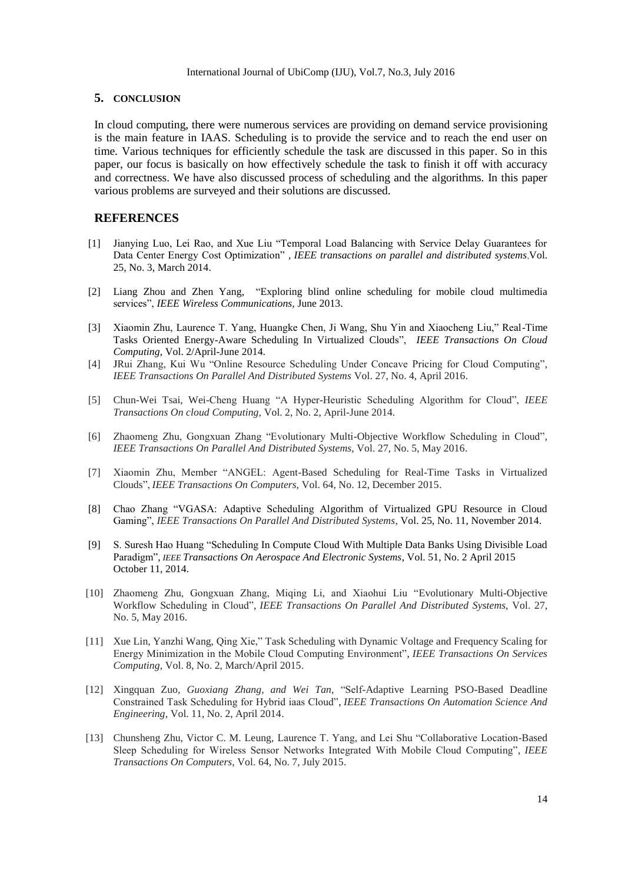#### **5. CONCLUSION**

In cloud computing, there were numerous services are providing on demand service provisioning is the main feature in IAAS. Scheduling is to provide the service and to reach the end user on time. Various techniques for efficiently schedule the task are discussed in this paper. So in this paper, our focus is basically on how effectively schedule the task to finish it off with accuracy and correctness. We have also discussed process of scheduling and the algorithms. In this paper various problems are surveyed and their solutions are discussed.

# **REFERENCES**

- [1] Jianying Luo, Lei Rao, and Xue Liu "Temporal Load Balancing with Service Delay Guarantees for Data Center Energy Cost Optimization" , *IEEE transactions on parallel and distributed systems*,Vol. 25, No. 3, March 2014.
- [2] Liang Zhou and Zhen Yang, "Exploring blind online scheduling for mobile cloud multimedia services", *IEEE Wireless Communications,* June 2013.
- [3] Xiaomin Zhu, Laurence T. Yang, Huangke Chen, Ji Wang, Shu Yin and Xiaocheng Liu," Real-Time Tasks Oriented Energy-Aware Scheduling In Virtualized Clouds", *IEEE Transactions On Cloud Computing*, Vol. 2/April-June 2014.
- [4] JRui Zhang, Kui Wu "Online Resource Scheduling Under Concave Pricing for Cloud Computing", *IEEE Transactions On Parallel And Distributed Systems* Vol. 27, No. 4, April 2016.
- [5] Chun-Wei Tsai, Wei-Cheng Huang "A Hyper-Heuristic Scheduling Algorithm for Cloud", *IEEE Transactions On cloud Computing,* Vol. 2, No. 2, April-June 2014.
- [6] Zhaomeng Zhu, Gongxuan Zhang "Evolutionary Multi-Objective Workflow Scheduling in Cloud", *IEEE Transactions On Parallel And Distributed Systems*, Vol. 27, No. 5, May 2016.
- [7] Xiaomin Zhu, Member "ANGEL: Agent-Based Scheduling for Real-Time Tasks in Virtualized Clouds", *IEEE Transactions On Computers,* Vol. 64, No. 12, December 2015.
- [8] Chao Zhang "VGASA: Adaptive Scheduling Algorithm of Virtualized GPU Resource in Cloud Gaming", *IEEE Transactions On Parallel And Distributed Systems*, Vol. 25, No. 11, November 2014.
- [9] S. Suresh Hao Huang "Scheduling In Compute Cloud With Multiple Data Banks Using Divisible Load Paradigm", *IEEE Transactions On Aerospace And Electronic Systems*, Vol. 51, No. 2 April 2015 October 11, 2014.
- [10] Zhaomeng Zhu, Gongxuan Zhang, Miqing Li, and Xiaohui Liu "Evolutionary Multi-Objective Workflow Scheduling in Cloud", *IEEE Transactions On Parallel And Distributed Systems*, Vol. 27, No. 5, May 2016.
- [11] Xue Lin, Yanzhi Wang, Qing Xie," Task Scheduling with Dynamic Voltage and Frequency Scaling for Energy Minimization in the Mobile Cloud Computing Environment", *IEEE Transactions On Services Computing,* Vol. 8, No. 2, March/April 2015.
- [12] Xingquan Zuo*, Guoxiang Zhang, and Wei Tan,* "Self-Adaptive Learning PSO-Based Deadline Constrained Task Scheduling for Hybrid iaas Cloud", *IEEE Transactions On Automation Science And Engineering*, Vol. 11, No. 2, April 2014.
- [13] Chunsheng Zhu, Victor C. M. Leung, Laurence T. Yang, and Lei Shu "Collaborative Location-Based Sleep Scheduling for Wireless Sensor Networks Integrated With Mobile Cloud Computing", *IEEE Transactions On Computers*, Vol. 64, No. 7, July 2015.